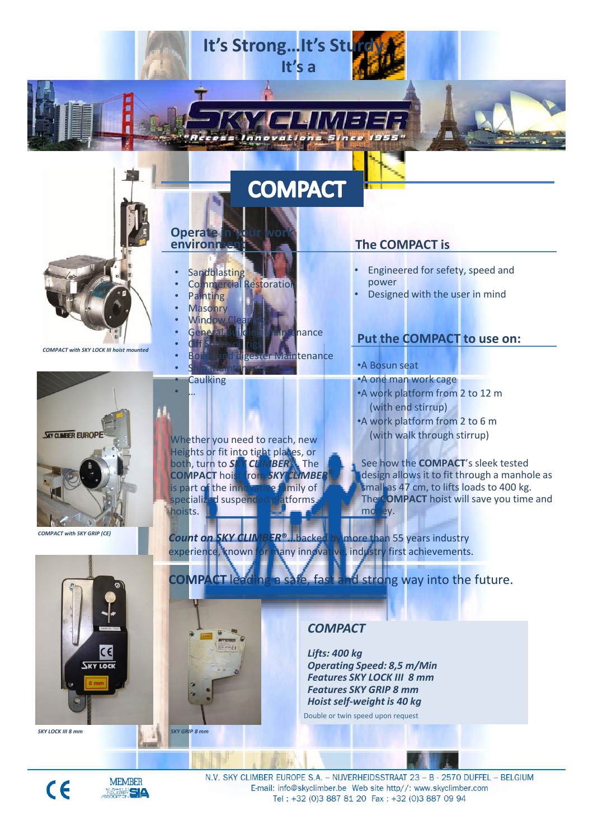# **COMPACT**

It's a

It's Strong... It's St

**Operate**<br>environn

• …

**Sandblasting** 

• **Off Shore oil** rigs

• Ship Maintenance **Caulking** 

**Painting Masonry** Window

**Commercial Restoration** 

General Building Maintenance

eester Maintenance

COMPACT with SKY LOCK III hoist mounted



COMPACT with SKY GRIP (CE)



Heights or fit into tight places, or both, turn to SKY CLIMBER<sup>®</sup>. The<br>COMPACT hoist from SKY CLIMBER **COMPACT hoist from SKY CLIMBER**<br>is part of the innovative family of is part of the inno specialized suspended platforms hoists.

Count on SKY CLIMBER<sup>®</sup>...backed by more than 55 years industry experience, known for many innovative, industry first achievements.

# The COMPACT is

- Engineered for sefety, speed and power
- Designed with the user in mind

# Put the COMPACT to use on:

- •A Bosun seat
- •A one man work cage
- •A work platform from 2 to 12 m (with end stirrup)
- •A work platform from 2 to 6 m Whether you need to reach, new (with walk through stirrup)

See how the **COMPACT's** sleek tested design allows it to fit through a manhole as **small as 47 cm, to lifts loads to 400 kg.** The **COMPACT** hoist will save you time and money.

# COMPACT leading a safe, fast and strong way into the future.

# **COMPACT**

Lifts: 400 kg Operating Speed: 8,5 m/Min Features SKY LOCK III 8 mm Features SKY GRIP 8 mm Hoist self-weight is 40 kg

Double or twin speed upon request



N.V. SKY CLIMBER EUROPE S.A. - NIJVERHEIDSSTRAAT 23 - B - 2570 DUFFEL - BELGIUM Tel: +32 (0)3 887 81 20 Fax: +32 (0)3 887 09 94